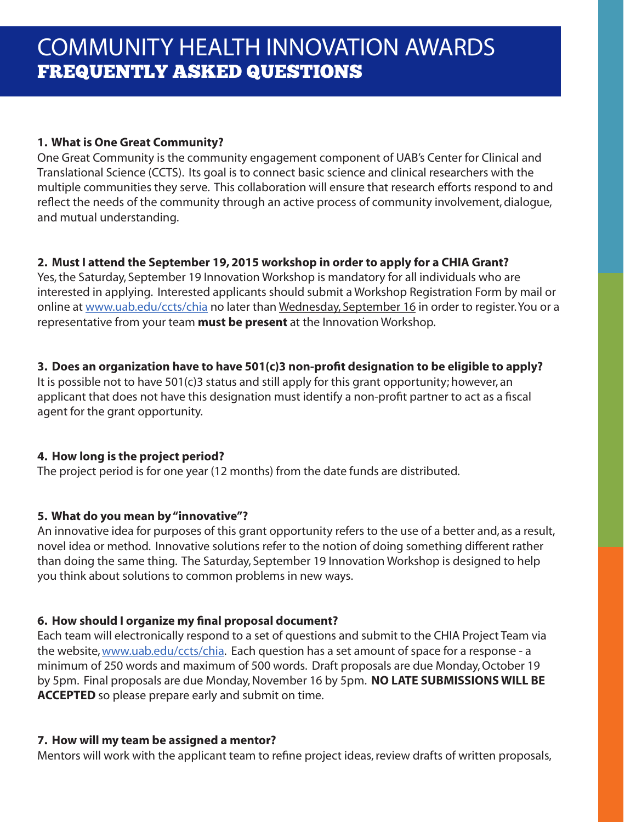## **1. What is One Great Community?**

One Great Community is the community engagement component of UAB's Center for Clinical and Translational Science (CCTS). Its goal is to connect basic science and clinical researchers with the multiple communities they serve. This collaboration will ensure that research efforts respond to and reflect the needs of the community through an active process of community involvement, dialogue, and mutual understanding.

## **2. Must I attend the September 19, 2015 workshop in order to apply for a CHIA Grant?**

Yes, the Saturday, September 19 Innovation Workshop is mandatory for all individuals who are interested in applying. Interested applicants should submit a Workshop Registration Form by mail or online at www.uab.edu/ccts/chia no later than Wednesday, September 16 in order to register. You or a representative from your team **must be present** at the Innovation Workshop.

## **3. Does an organization have to have 501(c)3 non-profit designation to be eligible to apply?**

It is possible not to have 501(c)3 status and still apply for this grant opportunity; however, an applicant that does not have this designation must identify a non-profit partner to act as a fiscal agent for the grant opportunity.

# **4. How long is the project period?**

The project period is for one year (12 months) from the date funds are distributed.

## **5. What do you mean by "innovative"?**

An innovative idea for purposes of this grant opportunity refers to the use of a better and, as a result, novel idea or method. Innovative solutions refer to the notion of doing something different rather than doing the same thing. The Saturday, September 19 Innovation Workshop is designed to help you think about solutions to common problems in new ways.

# **6. How should I organize my final proposal document?**

Each team will electronically respond to a set of questions and submit to the CHIA Project Team via the website, www.uab.edu/ccts/chia. Each question has a set amount of space for a response - a minimum of 250 words and maximum of 500 words. Draft proposals are due Monday, October 19 by 5pm. Final proposals are due Monday, November 16 by 5pm. **NO LATE SUBMISSIONS WILL BE ACCEPTED** so please prepare early and submit on time.

## **7. How will my team be assigned a mentor?**

Mentors will work with the applicant team to refine project ideas, review drafts of written proposals,